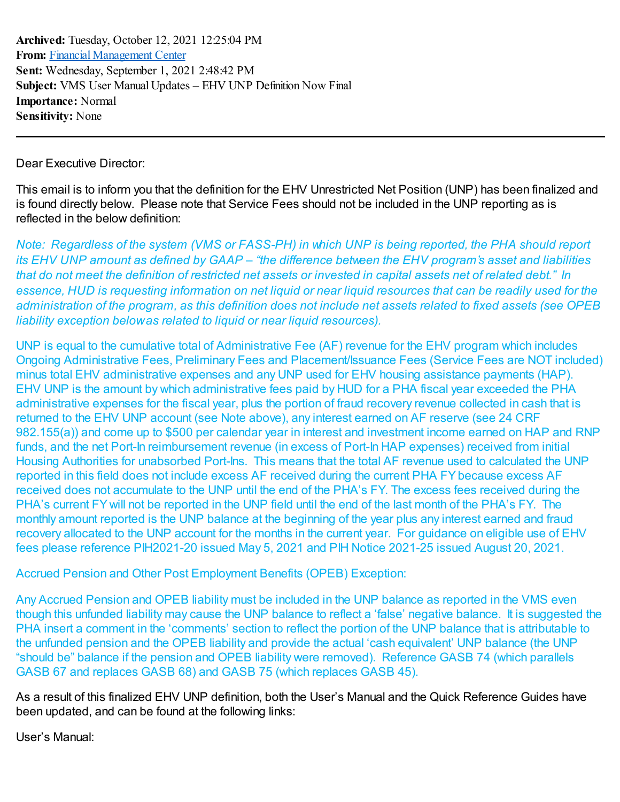**Archived:** Tuesday, October 12, 2021 12:25:04 PM **From:** Financial [Management](mailto:FinancialManagementCenter@hud.gov) Center **Sent:** Wednesday, September 1, 2021 2:48:42 PM **Subject:** VMS User Manual Updates – EHV UNP Definition Now Final **Importance:** Normal **Sensitivity:** None

Dear Executive Director:

This email is to inform you that the definition for the EHV Unrestricted Net Position (UNP) has been finalized and is found directly below. Please note that Service Fees should not be included in the UNP reporting as is reflected in the below definition:

Note: Regardless of the system (VMS or FASS-PH) in which UNP is being reported, the PHA should report its EHV UNP amount as defined by GAAP – "the difference between the EHV program's asset and liabilities that do not meet the definition of restricted net assets or invested in capital assets net of related debt." In essence, HUD is requesting information on net liquid or near liquid resources that can be readily used for the administration of the program, as this definition does not include net assets related to fixed assets (see OPEB *liability exception belowas related to liquid or near liquid resources).*

UNP is equal to the cumulative total of Administrative Fee (AF) revenue for the EHV program which includes Ongoing Administrative Fees, Preliminary Fees and Placement/Issuance Fees (Service Fees are NOT included) minus total EHV administrative expenses and any UNP used for EHV housing assistance payments (HAP). EHV UNP is the amount by which administrative fees paid by HUD for a PHA fiscal year exceeded the PHA administrative expenses for the fiscal year, plus the portion of fraud recovery revenue collected in cash that is returned to the EHV UNP account (see Note above), any interest earned on AF reserve (see 24 CRF 982.155(a)) and come up to \$500 per calendar year in interest and investment income earned on HAP and RNP funds, and the net Port-In reimbursement revenue (in excess of Port-In HAP expenses) received from initial Housing Authorities for unabsorbed Port-Ins. This means that the total AF revenue used to calculated the UNP reported in this field does not include excess AF received during the current PHA FYbecause excess AF received does not accumulate to the UNP until the end of the PHA's FY. The excess fees received during the PHA's current FY will not be reported in the UNP field until the end of the last month of the PHA's FY. The monthly amount reported is the UNP balance at the beginning of the year plus any interest earned and fraud recovery allocated to the UNP account for the months in the current year. For guidance on eligible use of EHV fees please reference PIH2021-20 issued May 5, 2021 and PIH Notice 2021-25 issued August 20, 2021.

Accrued Pension and Other Post Employment Benefits (OPEB) Exception:

Any Accrued Pension and OPEB liability must be included in the UNP balance as reported in the VMS even though this unfunded liability may cause the UNP balance to reflect a 'false' negative balance. It is suggested the PHA insert a comment in the 'comments' section to reflect the portion of the UNP balance that is attributable to the unfunded pension and the OPEB liability and provide the actual 'cash equivalent' UNP balance (the UNP "should be" balance if the pension and OPEB liability were removed). Reference GASB 74 (which parallels GASB 67 and replaces GASB 68) and GASB 75 (which replaces GASB 45).

As a result of this finalized EHV UNP definition, both the User's Manual and the Quick Reference Guides have been updated, and can be found at the following links:

User's Manual: